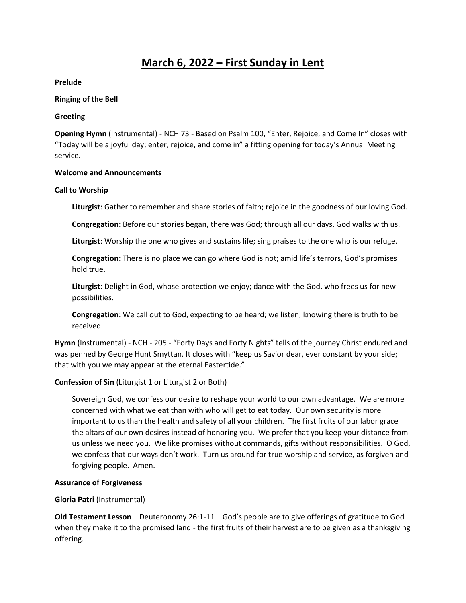# **March 6, 2022 – First Sunday in Lent**

**Prelude**

### **Ringing of the Bell**

### **Greeting**

**Opening Hymn** (Instrumental) - NCH 73 - Based on Psalm 100, "Enter, Rejoice, and Come In" closes with "Today will be a joyful day; enter, rejoice, and come in" a fitting opening for today's Annual Meeting service.

### **Welcome and Announcements**

### **Call to Worship**

**Liturgist**: Gather to remember and share stories of faith; rejoice in the goodness of our loving God.

**Congregation**: Before our stories began, there was God; through all our days, God walks with us.

**Liturgist**: Worship the one who gives and sustains life; sing praises to the one who is our refuge.

**Congregation**: There is no place we can go where God is not; amid life's terrors, God's promises hold true.

**Liturgist**: Delight in God, whose protection we enjoy; dance with the God, who frees us for new possibilities.

**Congregation**: We call out to God, expecting to be heard; we listen, knowing there is truth to be received.

**Hymn** (Instrumental) - NCH - 205 - "Forty Days and Forty Nights" tells of the journey Christ endured and was penned by George Hunt Smyttan. It closes with "keep us Savior dear, ever constant by your side; that with you we may appear at the eternal Eastertide."

# **Confession of Sin** (Liturgist 1 or Liturgist 2 or Both)

Sovereign God, we confess our desire to reshape your world to our own advantage. We are more concerned with what we eat than with who will get to eat today. Our own security is more important to us than the health and safety of all your children. The first fruits of our labor grace the altars of our own desires instead of honoring you. We prefer that you keep your distance from us unless we need you. We like promises without commands, gifts without responsibilities. O God, we confess that our ways don't work. Turn us around for true worship and service, as forgiven and forgiving people. Amen.

# **Assurance of Forgiveness**

# **Gloria Patri** (Instrumental)

**Old Testament Lesson** – Deuteronomy 26:1-11 – God's people are to give offerings of gratitude to God when they make it to the promised land - the first fruits of their harvest are to be given as a thanksgiving offering.